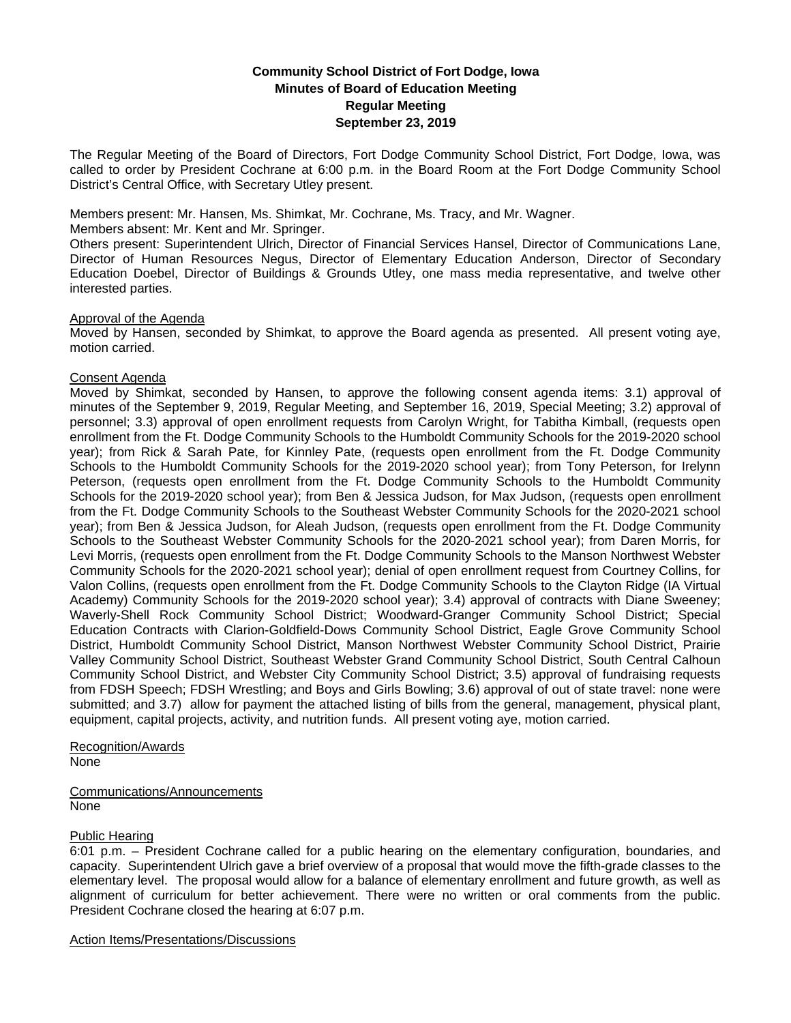# **Community School District of Fort Dodge, Iowa Minutes of Board of Education Meeting Regular Meeting September 23, 2019**

The Regular Meeting of the Board of Directors, Fort Dodge Community School District, Fort Dodge, Iowa, was called to order by President Cochrane at 6:00 p.m. in the Board Room at the Fort Dodge Community School District's Central Office, with Secretary Utley present.

Members present: Mr. Hansen, Ms. Shimkat, Mr. Cochrane, Ms. Tracy, and Mr. Wagner.

Members absent: Mr. Kent and Mr. Springer.

Others present: Superintendent Ulrich, Director of Financial Services Hansel, Director of Communications Lane, Director of Human Resources Negus, Director of Elementary Education Anderson, Director of Secondary Education Doebel, Director of Buildings & Grounds Utley, one mass media representative, and twelve other interested parties.

## Approval of the Agenda

Moved by Hansen, seconded by Shimkat, to approve the Board agenda as presented. All present voting aye, motion carried.

## Consent Agenda

Moved by Shimkat, seconded by Hansen, to approve the following consent agenda items: 3.1) approval of minutes of the September 9, 2019, Regular Meeting, and September 16, 2019, Special Meeting; 3.2) approval of personnel; 3.3) approval of open enrollment requests from Carolyn Wright, for Tabitha Kimball, (requests open enrollment from the Ft. Dodge Community Schools to the Humboldt Community Schools for the 2019-2020 school year); from Rick & Sarah Pate, for Kinnley Pate, (requests open enrollment from the Ft. Dodge Community Schools to the Humboldt Community Schools for the 2019-2020 school year); from Tony Peterson, for Irelynn Peterson, (requests open enrollment from the Ft. Dodge Community Schools to the Humboldt Community Schools for the 2019-2020 school year); from Ben & Jessica Judson, for Max Judson, (requests open enrollment from the Ft. Dodge Community Schools to the Southeast Webster Community Schools for the 2020-2021 school year); from Ben & Jessica Judson, for Aleah Judson, (requests open enrollment from the Ft. Dodge Community Schools to the Southeast Webster Community Schools for the 2020-2021 school year); from Daren Morris, for Levi Morris, (requests open enrollment from the Ft. Dodge Community Schools to the Manson Northwest Webster Community Schools for the 2020-2021 school year); denial of open enrollment request from Courtney Collins, for Valon Collins, (requests open enrollment from the Ft. Dodge Community Schools to the Clayton Ridge (IA Virtual Academy) Community Schools for the 2019-2020 school year); 3.4) approval of contracts with Diane Sweeney; Waverly-Shell Rock Community School District; Woodward-Granger Community School District; Special Education Contracts with Clarion-Goldfield-Dows Community School District, Eagle Grove Community School District, Humboldt Community School District, Manson Northwest Webster Community School District, Prairie Valley Community School District, Southeast Webster Grand Community School District, South Central Calhoun Community School District, and Webster City Community School District; 3.5) approval of fundraising requests from FDSH Speech; FDSH Wrestling; and Boys and Girls Bowling; 3.6) approval of out of state travel: none were submitted; and 3.7) allow for payment the attached listing of bills from the general, management, physical plant, equipment, capital projects, activity, and nutrition funds. All present voting aye, motion carried.

#### Recognition/Awards None

Communications/Announcements None

## Public Hearing

6:01 p.m. – President Cochrane called for a public hearing on the elementary configuration, boundaries, and capacity. Superintendent Ulrich gave a brief overview of a proposal that would move the fifth-grade classes to the elementary level. The proposal would allow for a balance of elementary enrollment and future growth, as well as alignment of curriculum for better achievement. There were no written or oral comments from the public. President Cochrane closed the hearing at 6:07 p.m.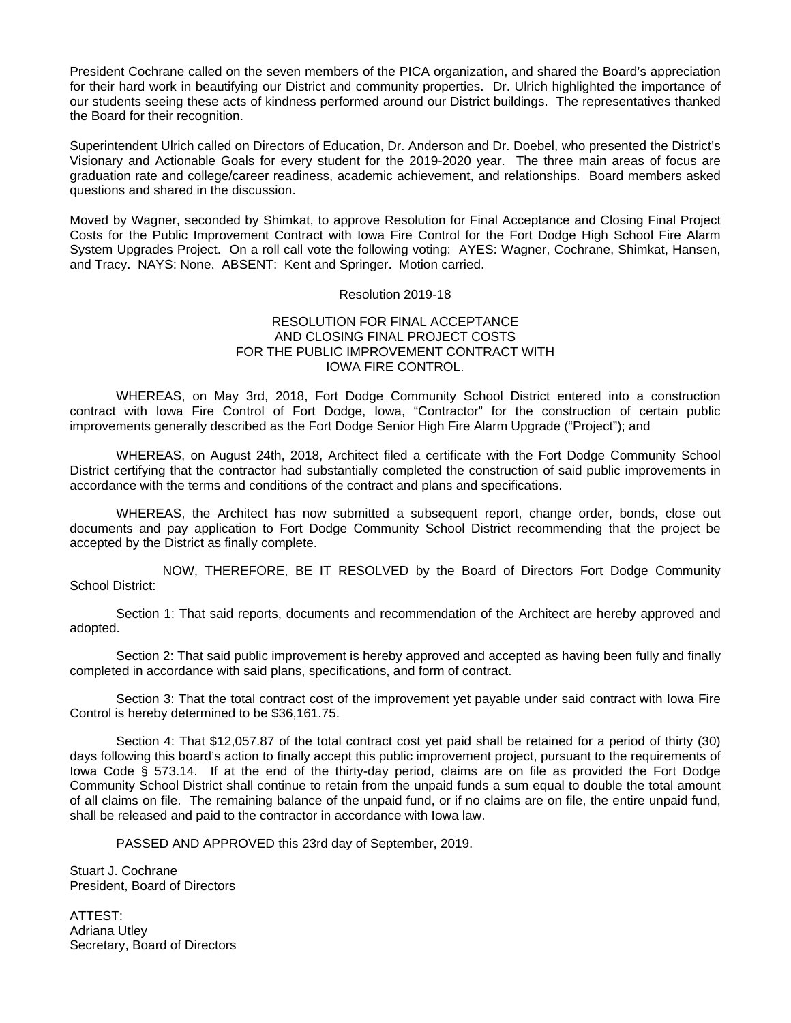President Cochrane called on the seven members of the PICA organization, and shared the Board's appreciation for their hard work in beautifying our District and community properties. Dr. Ulrich highlighted the importance of our students seeing these acts of kindness performed around our District buildings. The representatives thanked the Board for their recognition.

Superintendent Ulrich called on Directors of Education, Dr. Anderson and Dr. Doebel, who presented the District's Visionary and Actionable Goals for every student for the 2019-2020 year. The three main areas of focus are graduation rate and college/career readiness, academic achievement, and relationships. Board members asked questions and shared in the discussion.

Moved by Wagner, seconded by Shimkat, to approve Resolution for Final Acceptance and Closing Final Project Costs for the Public Improvement Contract with Iowa Fire Control for the Fort Dodge High School Fire Alarm System Upgrades Project. On a roll call vote the following voting: AYES: Wagner, Cochrane, Shimkat, Hansen, and Tracy. NAYS: None. ABSENT: Kent and Springer. Motion carried.

#### Resolution 2019-18

### RESOLUTION FOR FINAL ACCEPTANCE AND CLOSING FINAL PROJECT COSTS FOR THE PUBLIC IMPROVEMENT CONTRACT WITH IOWA FIRE CONTROL.

WHEREAS, on May 3rd, 2018, Fort Dodge Community School District entered into a construction contract with Iowa Fire Control of Fort Dodge, Iowa, "Contractor" for the construction of certain public improvements generally described as the Fort Dodge Senior High Fire Alarm Upgrade ("Project"); and

 WHEREAS, on August 24th, 2018, Architect filed a certificate with the Fort Dodge Community School District certifying that the contractor had substantially completed the construction of said public improvements in accordance with the terms and conditions of the contract and plans and specifications.

 WHEREAS, the Architect has now submitted a subsequent report, change order, bonds, close out documents and pay application to Fort Dodge Community School District recommending that the project be accepted by the District as finally complete.

 NOW, THEREFORE, BE IT RESOLVED by the Board of Directors Fort Dodge Community School District:

 Section 1: That said reports, documents and recommendation of the Architect are hereby approved and adopted.

 Section 2: That said public improvement is hereby approved and accepted as having been fully and finally completed in accordance with said plans, specifications, and form of contract.

 Section 3: That the total contract cost of the improvement yet payable under said contract with Iowa Fire Control is hereby determined to be \$36,161.75.

 Section 4: That \$12,057.87 of the total contract cost yet paid shall be retained for a period of thirty (30) days following this board's action to finally accept this public improvement project, pursuant to the requirements of Iowa Code § 573.14. If at the end of the thirty-day period, claims are on file as provided the Fort Dodge Community School District shall continue to retain from the unpaid funds a sum equal to double the total amount of all claims on file. The remaining balance of the unpaid fund, or if no claims are on file, the entire unpaid fund, shall be released and paid to the contractor in accordance with Iowa law.

PASSED AND APPROVED this 23rd day of September, 2019.

Stuart J. Cochrane President, Board of Directors

ATTEST: Adriana Utley Secretary, Board of Directors